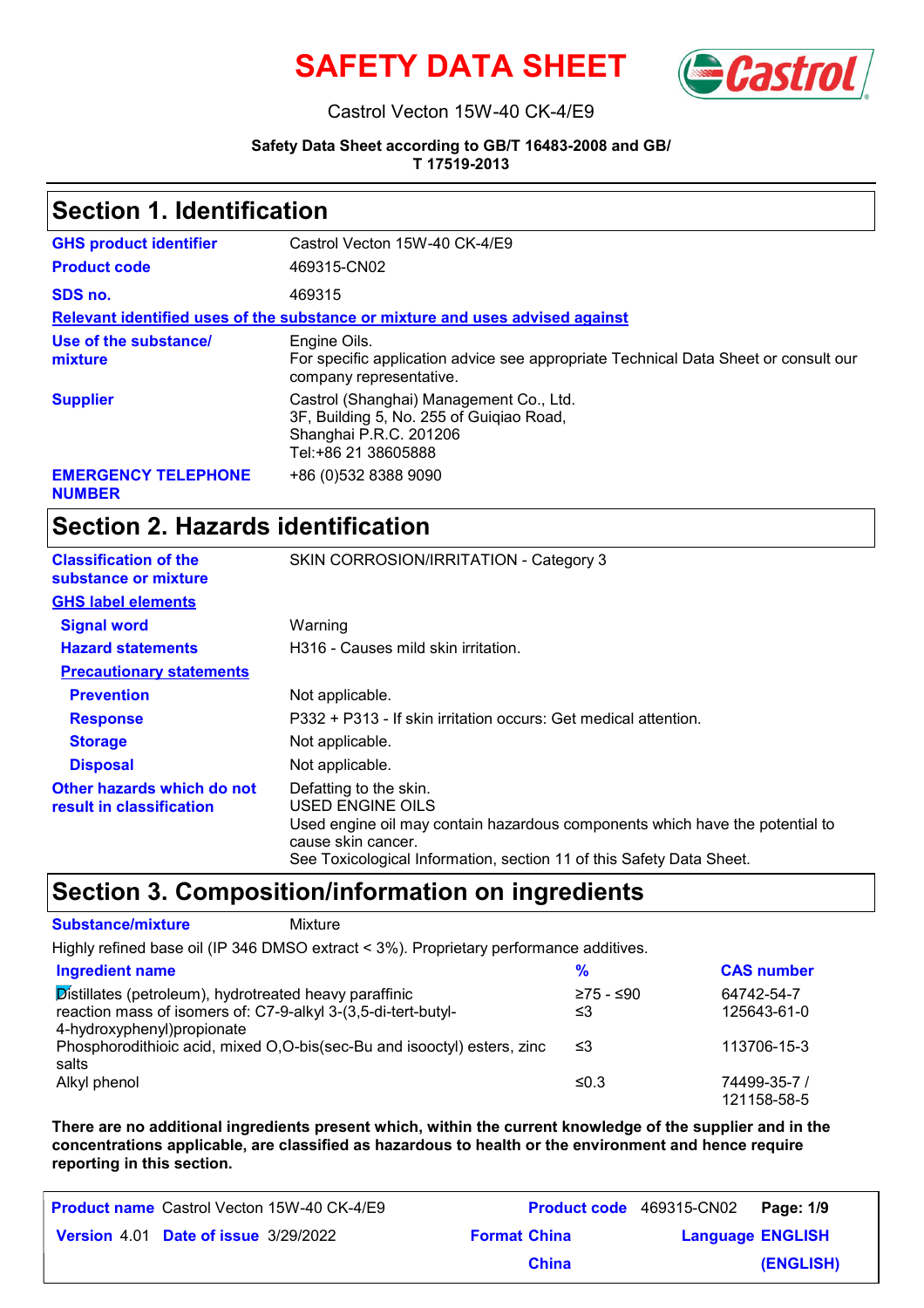



#### Castrol Vecton 15W-40 CK-4/E9

### **Safety Data Sheet according to GB/T 16483-2008 and GB/**

**T 17519-2013**

### **Section 1. Identification**

| <b>GHS product identifier</b>               | Castrol Vecton 15W-40 CK-4/E9                                                                                                        |
|---------------------------------------------|--------------------------------------------------------------------------------------------------------------------------------------|
| <b>Product code</b>                         | 469315-CN02                                                                                                                          |
| SDS no.                                     | 469315                                                                                                                               |
|                                             | Relevant identified uses of the substance or mixture and uses advised against                                                        |
| Use of the substance/<br>mixture            | Engine Oils.<br>For specific application advice see appropriate Technical Data Sheet or consult our<br>company representative.       |
| <b>Supplier</b>                             | Castrol (Shanghai) Management Co., Ltd.<br>3F, Building 5, No. 255 of Guigiao Road,<br>Shanghai P.R.C. 201206<br>Tel:+86 21 38605888 |
| <b>EMERGENCY TELEPHONE</b><br><b>NUMBER</b> | +86 (0) 532 8388 9090                                                                                                                |

# **Section 2. Hazards identification**

| <b>Classification of the</b><br>substance or mixture   | SKIN CORROSION/IRRITATION - Category 3                                                                                                                                                                                   |
|--------------------------------------------------------|--------------------------------------------------------------------------------------------------------------------------------------------------------------------------------------------------------------------------|
| <b>GHS label elements</b>                              |                                                                                                                                                                                                                          |
| <b>Signal word</b>                                     | Warning                                                                                                                                                                                                                  |
| <b>Hazard statements</b>                               | H316 - Causes mild skin irritation.                                                                                                                                                                                      |
| <b>Precautionary statements</b>                        |                                                                                                                                                                                                                          |
| <b>Prevention</b>                                      | Not applicable.                                                                                                                                                                                                          |
| <b>Response</b>                                        | P332 + P313 - If skin irritation occurs: Get medical attention.                                                                                                                                                          |
| <b>Storage</b>                                         | Not applicable.                                                                                                                                                                                                          |
| <b>Disposal</b>                                        | Not applicable.                                                                                                                                                                                                          |
| Other hazards which do not<br>result in classification | Defatting to the skin.<br>USED ENGINE OILS<br>Used engine oil may contain hazardous components which have the potential to<br>cause skin cancer.<br>See Toxicological Information, section 11 of this Safety Data Sheet. |

### **Section 3. Composition/information on ingredients**

#### **Substance/mixture Mixture**

Highly refined base oil (IP 346 DMSO extract < 3%). Proprietary performance additives.

| <b>Ingredient name</b>                                                        | %         | <b>CAS number</b> |
|-------------------------------------------------------------------------------|-----------|-------------------|
| $\overline{\mathsf{Dist}}$ illates (petroleum), hydrotreated heavy paraffinic | ≥75 - ≤90 | 64742-54-7        |
| reaction mass of isomers of: C7-9-alkyl 3-(3,5-di-tert-butyl-                 | ≤3        | 125643-61-0       |
| 4-hydroxyphenyl) propionate                                                   |           |                   |
| Phosphorodithioic acid, mixed O,O-bis(sec-Bu and isooctyl) esters, zinc       | וצ≥       | 113706-15-3       |
| salts                                                                         |           |                   |
| Alkyl phenol                                                                  | ≤0.3      | 74499-35-7 /      |
|                                                                               |           | 121158-58-5       |

**There are no additional ingredients present which, within the current knowledge of the supplier and in the concentrations applicable, are classified as hazardous to health or the environment and hence require reporting in this section.**

| <b>Product name</b> Castrol Vecton 15W-40 CK-4/E9 |                     | Product code 469315-CN02 Page: 1/9 |
|---------------------------------------------------|---------------------|------------------------------------|
| <b>Version 4.01 Date of issue 3/29/2022</b>       | <b>Format China</b> | <b>Language ENGLISH</b>            |
|                                                   | <b>China</b>        | (ENGLISH)                          |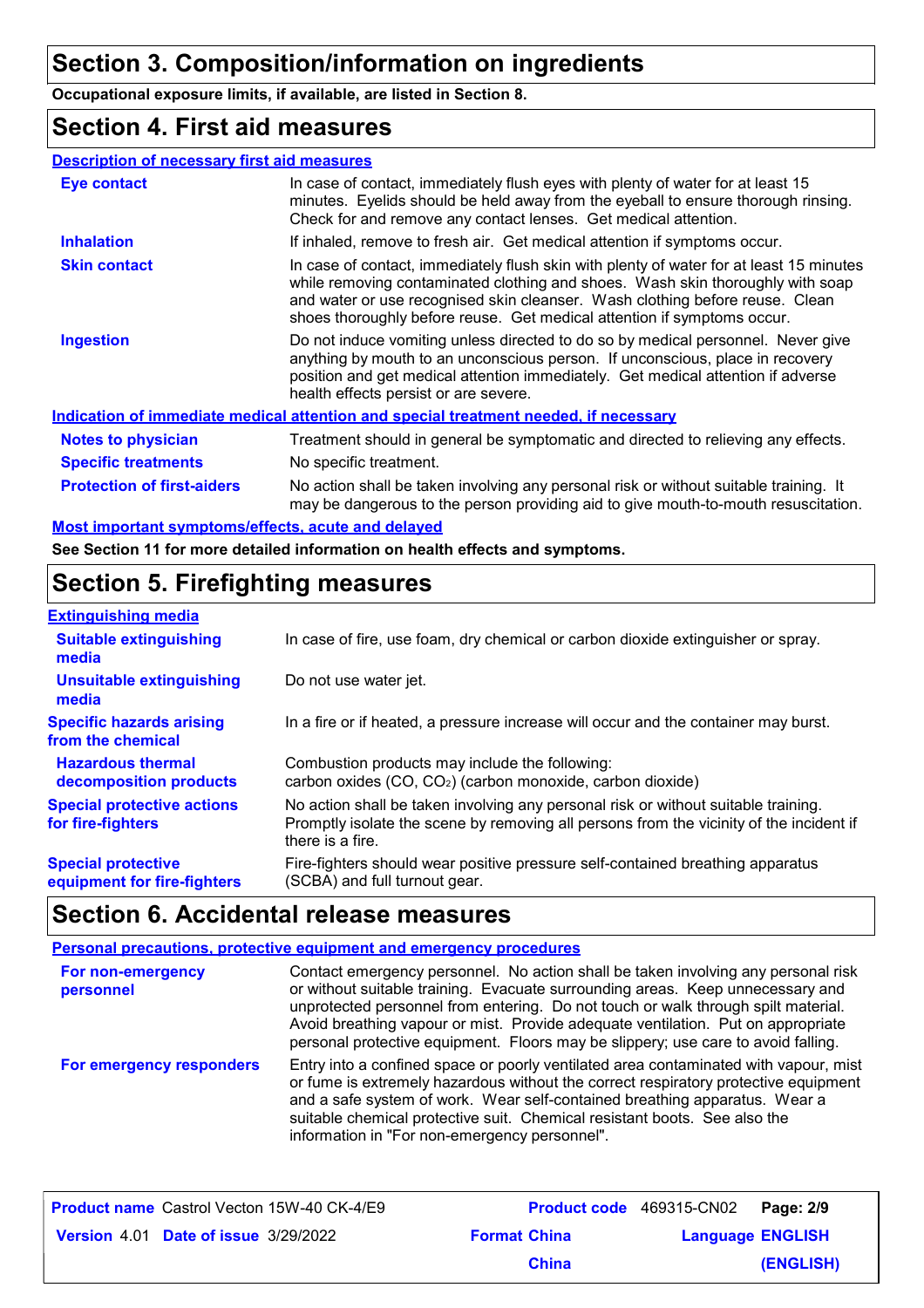# **Section 3. Composition/information on ingredients**

**Occupational exposure limits, if available, are listed in Section 8.**

### **Section 4. First aid measures**

| <b>Description of necessary first aid measures</b>                     |                                                                                                                                                                                                                                                                                                                                      |
|------------------------------------------------------------------------|--------------------------------------------------------------------------------------------------------------------------------------------------------------------------------------------------------------------------------------------------------------------------------------------------------------------------------------|
| Eye contact                                                            | In case of contact, immediately flush eyes with plenty of water for at least 15<br>minutes. Eyelids should be held away from the eyeball to ensure thorough rinsing.<br>Check for and remove any contact lenses. Get medical attention.                                                                                              |
| <b>Inhalation</b>                                                      | If inhaled, remove to fresh air. Get medical attention if symptoms occur.                                                                                                                                                                                                                                                            |
| <b>Skin contact</b>                                                    | In case of contact, immediately flush skin with plenty of water for at least 15 minutes<br>while removing contaminated clothing and shoes. Wash skin thoroughly with soap<br>and water or use recognised skin cleanser. Wash clothing before reuse. Clean<br>shoes thoroughly before reuse. Get medical attention if symptoms occur. |
| <b>Ingestion</b>                                                       | Do not induce vomiting unless directed to do so by medical personnel. Never give<br>anything by mouth to an unconscious person. If unconscious, place in recovery<br>position and get medical attention immediately. Get medical attention if adverse<br>health effects persist or are severe.                                       |
|                                                                        | Indication of immediate medical attention and special treatment needed, if necessary                                                                                                                                                                                                                                                 |
| <b>Notes to physician</b>                                              | Treatment should in general be symptomatic and directed to relieving any effects.                                                                                                                                                                                                                                                    |
| <b>Specific treatments</b>                                             | No specific treatment.                                                                                                                                                                                                                                                                                                               |
| <b>Protection of first-aiders</b>                                      | No action shall be taken involving any personal risk or without suitable training. It<br>may be dangerous to the person providing aid to give mouth-to-mouth resuscitation.                                                                                                                                                          |
| All and there entered accurate media flants, and the most also because |                                                                                                                                                                                                                                                                                                                                      |

**Most important symptoms/effects, acute and delayed**

**See Section 11 for more detailed information on health effects and symptoms.**

# **Section 5. Firefighting measures**

| <b>Extinguishing media</b>                               |                                                                                                                                                                                                   |
|----------------------------------------------------------|---------------------------------------------------------------------------------------------------------------------------------------------------------------------------------------------------|
| <b>Suitable extinguishing</b><br>media                   | In case of fire, use foam, dry chemical or carbon dioxide extinguisher or spray.                                                                                                                  |
| <b>Unsuitable extinguishing</b><br>media                 | Do not use water jet.                                                                                                                                                                             |
| <b>Specific hazards arising</b><br>from the chemical     | In a fire or if heated, a pressure increase will occur and the container may burst.                                                                                                               |
| <b>Hazardous thermal</b><br>decomposition products       | Combustion products may include the following:<br>carbon oxides (CO, CO <sub>2</sub> ) (carbon monoxide, carbon dioxide)                                                                          |
| <b>Special protective actions</b><br>for fire-fighters   | No action shall be taken involving any personal risk or without suitable training.<br>Promptly isolate the scene by removing all persons from the vicinity of the incident if<br>there is a fire. |
| <b>Special protective</b><br>equipment for fire-fighters | Fire-fighters should wear positive pressure self-contained breathing apparatus<br>(SCBA) and full turnout gear.                                                                                   |

# **Section 6. Accidental release measures**

#### **Personal precautions, protective equipment and emergency procedures**

| For non-emergency<br>personnel | Contact emergency personnel. No action shall be taken involving any personal risk<br>or without suitable training. Evacuate surrounding areas. Keep unnecessary and<br>unprotected personnel from entering. Do not touch or walk through spilt material.<br>Avoid breathing vapour or mist. Provide adequate ventilation. Put on appropriate<br>personal protective equipment. Floors may be slippery; use care to avoid falling. |
|--------------------------------|-----------------------------------------------------------------------------------------------------------------------------------------------------------------------------------------------------------------------------------------------------------------------------------------------------------------------------------------------------------------------------------------------------------------------------------|
| For emergency responders       | Entry into a confined space or poorly ventilated area contaminated with vapour, mist<br>or fume is extremely hazardous without the correct respiratory protective equipment<br>and a safe system of work. Wear self-contained breathing apparatus. Wear a<br>suitable chemical protective suit. Chemical resistant boots. See also the<br>information in "For non-emergency personnel".                                           |

| <b>Product name</b> Castrol Vecton 15W-40 CK-4/E9 |                     | Product code 469315-CN02 Page: 2/9 |           |
|---------------------------------------------------|---------------------|------------------------------------|-----------|
| <b>Version 4.01 Date of issue 3/29/2022</b>       | <b>Format China</b> | <b>Language ENGLISH</b>            |           |
|                                                   | <b>China</b>        |                                    | (ENGLISH) |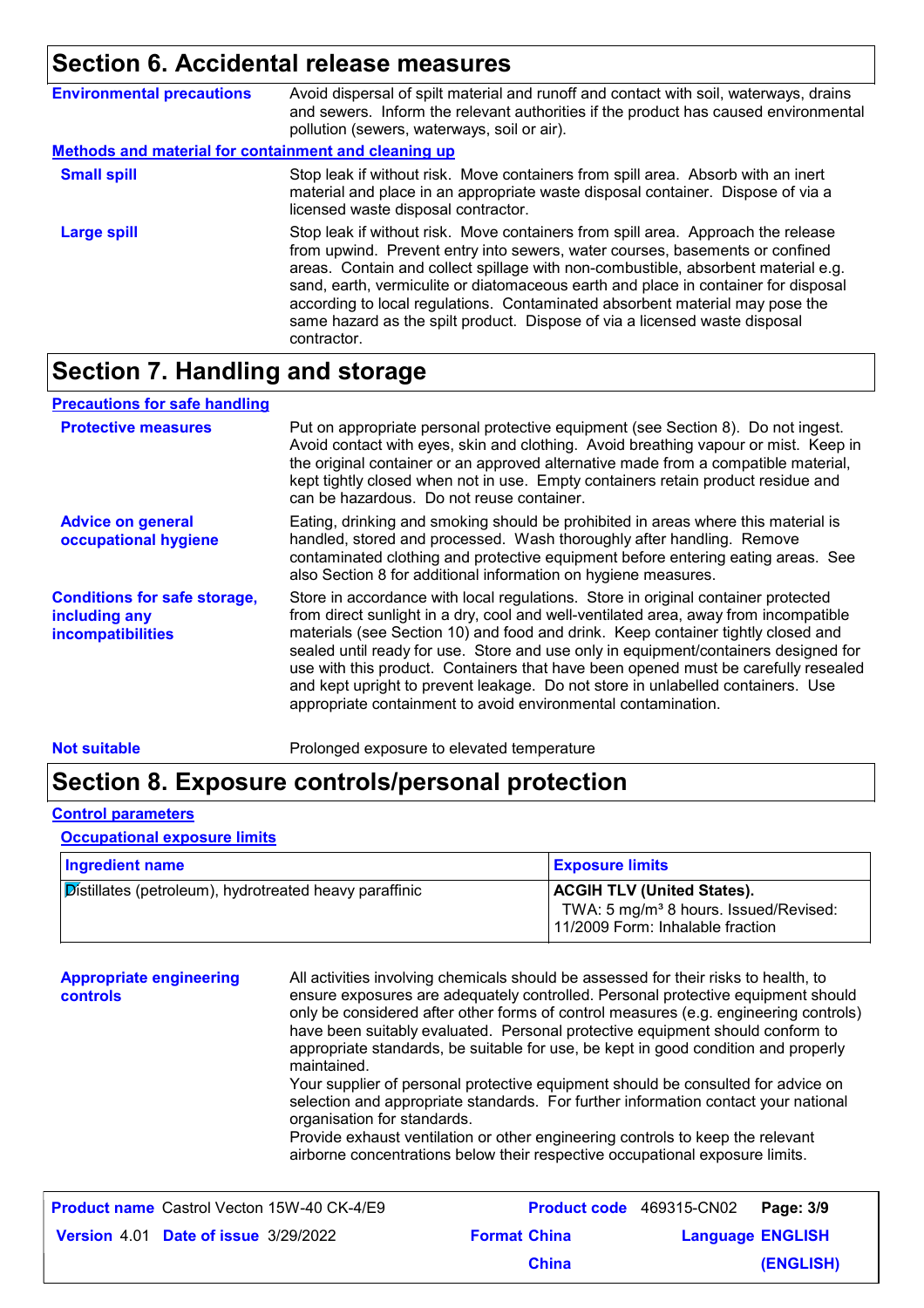# **Section 6. Accidental release measures**

| <b>Environmental precautions</b>                            | Avoid dispersal of spilt material and runoff and contact with soil, waterways, drains<br>and sewers. Inform the relevant authorities if the product has caused environmental<br>pollution (sewers, waterways, soil or air).                                                                                                                                                                                                                                                                                              |  |
|-------------------------------------------------------------|--------------------------------------------------------------------------------------------------------------------------------------------------------------------------------------------------------------------------------------------------------------------------------------------------------------------------------------------------------------------------------------------------------------------------------------------------------------------------------------------------------------------------|--|
| <b>Methods and material for containment and cleaning up</b> |                                                                                                                                                                                                                                                                                                                                                                                                                                                                                                                          |  |
| <b>Small spill</b>                                          | Stop leak if without risk. Move containers from spill area. Absorb with an inert<br>material and place in an appropriate waste disposal container. Dispose of via a<br>licensed waste disposal contractor.                                                                                                                                                                                                                                                                                                               |  |
| Large spill                                                 | Stop leak if without risk. Move containers from spill area. Approach the release<br>from upwind. Prevent entry into sewers, water courses, basements or confined<br>areas. Contain and collect spillage with non-combustible, absorbent material e.g.<br>sand, earth, vermiculite or diatomaceous earth and place in container for disposal<br>according to local regulations. Contaminated absorbent material may pose the<br>same hazard as the spilt product. Dispose of via a licensed waste disposal<br>contractor. |  |

# **Section 7. Handling and storage**

| <b>Precautions for safe handling</b>                                             |                                                                                                                                                                                                                                                                                                                                                                                                                                                                                                                                                                                                |
|----------------------------------------------------------------------------------|------------------------------------------------------------------------------------------------------------------------------------------------------------------------------------------------------------------------------------------------------------------------------------------------------------------------------------------------------------------------------------------------------------------------------------------------------------------------------------------------------------------------------------------------------------------------------------------------|
| <b>Protective measures</b>                                                       | Put on appropriate personal protective equipment (see Section 8). Do not ingest.<br>Avoid contact with eyes, skin and clothing. Avoid breathing vapour or mist. Keep in<br>the original container or an approved alternative made from a compatible material,<br>kept tightly closed when not in use. Empty containers retain product residue and<br>can be hazardous. Do not reuse container.                                                                                                                                                                                                 |
| <b>Advice on general</b><br>occupational hygiene                                 | Eating, drinking and smoking should be prohibited in areas where this material is<br>handled, stored and processed. Wash thoroughly after handling. Remove<br>contaminated clothing and protective equipment before entering eating areas. See<br>also Section 8 for additional information on hygiene measures.                                                                                                                                                                                                                                                                               |
| <b>Conditions for safe storage,</b><br>including any<br><b>incompatibilities</b> | Store in accordance with local regulations. Store in original container protected<br>from direct sunlight in a dry, cool and well-ventilated area, away from incompatible<br>materials (see Section 10) and food and drink. Keep container tightly closed and<br>sealed until ready for use. Store and use only in equipment/containers designed for<br>use with this product. Containers that have been opened must be carefully resealed<br>and kept upright to prevent leakage. Do not store in unlabelled containers. Use<br>appropriate containment to avoid environmental contamination. |

**Not suitable Not suitable** Prolonged exposure to elevated temperature

### **Section 8. Exposure controls/personal protection**

### **Control parameters**

#### **Occupational exposure limits**

| <b>Ingredient name</b>                                        | <b>Exposure limits</b>                                                                                                     |
|---------------------------------------------------------------|----------------------------------------------------------------------------------------------------------------------------|
| <b>Distillates (petroleum), hydrotreated heavy paraffinic</b> | <b>ACGIH TLV (United States).</b><br>TWA: 5 mg/m <sup>3</sup> 8 hours. Issued/Revised:<br>11/2009 Form: Inhalable fraction |

**Appropriate engineering controls** All activities involving chemicals should be assessed for their risks to health, to ensure exposures are adequately controlled. Personal protective equipment should only be considered after other forms of control measures (e.g. engineering controls) have been suitably evaluated. Personal protective equipment should conform to appropriate standards, be suitable for use, be kept in good condition and properly maintained. Your supplier of personal protective equipment should be consulted for advice on selection and appropriate standards. For further information contact your national organisation for standards. Provide exhaust ventilation or other engineering controls to keep the relevant airborne concentrations below their respective occupational exposure limits. Castrol Vecton 15W-40 CK-4/E9 **Product code** 469315-CN02 **Page: 3/9** | 469315-CN02 Page:

| <b>Product name</b> Castrol Vecton 15W-40 CK-4/E9 |                     | Product code 469315-CN02 Page: 3/9 |
|---------------------------------------------------|---------------------|------------------------------------|
| <b>Version 4.01 Date of issue 3/29/2022</b>       | <b>Format China</b> | <b>Language ENGLISH</b>            |
|                                                   | <b>China</b>        | (ENGLISH)                          |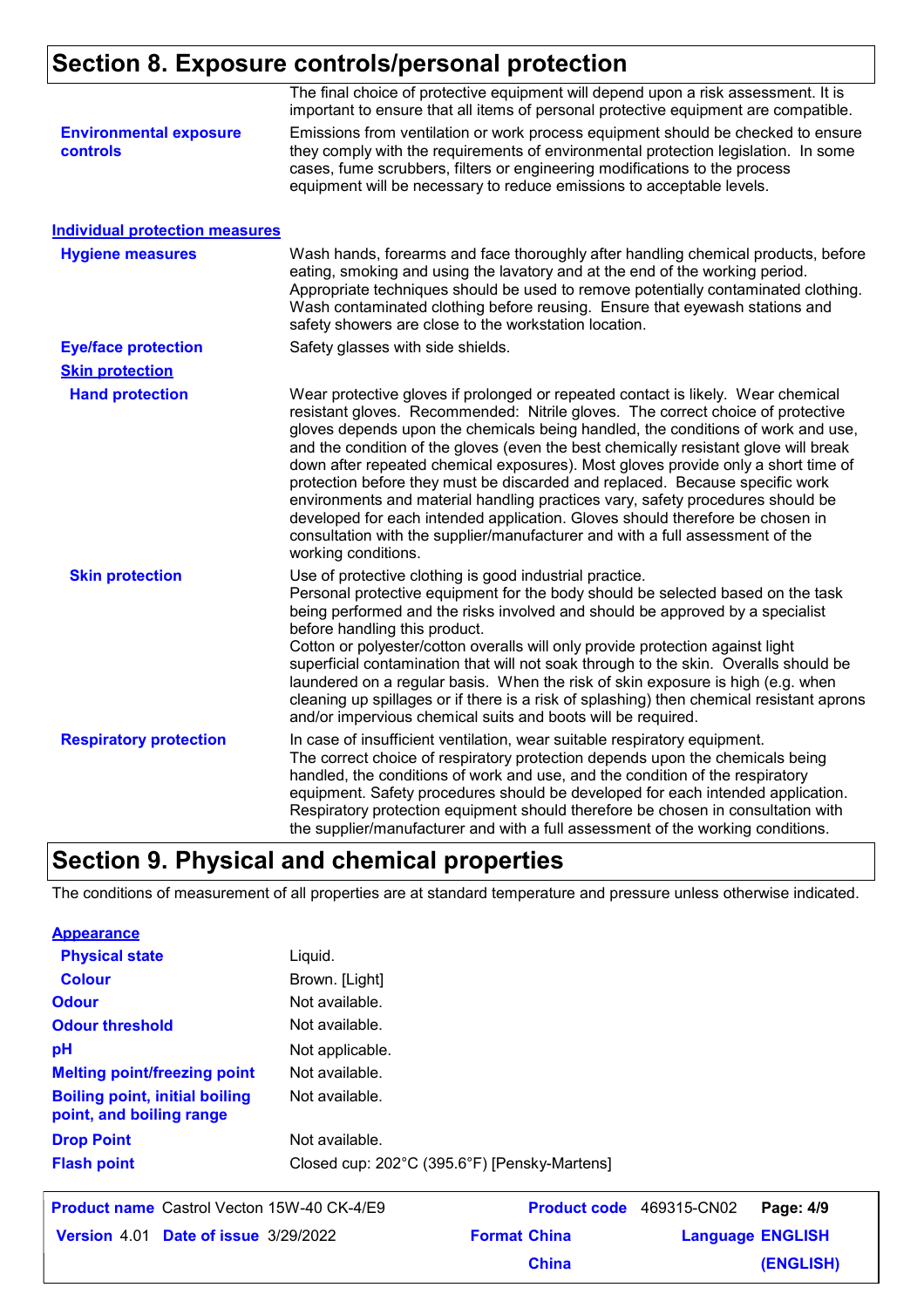# **Section 8. Exposure controls/personal protection**

|                                                  | The final choice of protective equipment will depend upon a risk assessment. It is<br>important to ensure that all items of personal protective equipment are compatible.                                                                                                                                                                                                                                                                                                                                                                                                                                                                                                                                                                                                                       |
|--------------------------------------------------|-------------------------------------------------------------------------------------------------------------------------------------------------------------------------------------------------------------------------------------------------------------------------------------------------------------------------------------------------------------------------------------------------------------------------------------------------------------------------------------------------------------------------------------------------------------------------------------------------------------------------------------------------------------------------------------------------------------------------------------------------------------------------------------------------|
| <b>Environmental exposure</b><br><b>controls</b> | Emissions from ventilation or work process equipment should be checked to ensure<br>they comply with the requirements of environmental protection legislation. In some<br>cases, fume scrubbers, filters or engineering modifications to the process<br>equipment will be necessary to reduce emissions to acceptable levels.                                                                                                                                                                                                                                                                                                                                                                                                                                                                   |
| <b>Individual protection measures</b>            |                                                                                                                                                                                                                                                                                                                                                                                                                                                                                                                                                                                                                                                                                                                                                                                                 |
| <b>Hygiene measures</b>                          | Wash hands, forearms and face thoroughly after handling chemical products, before<br>eating, smoking and using the lavatory and at the end of the working period.<br>Appropriate techniques should be used to remove potentially contaminated clothing.<br>Wash contaminated clothing before reusing. Ensure that eyewash stations and<br>safety showers are close to the workstation location.                                                                                                                                                                                                                                                                                                                                                                                                 |
| <b>Eye/face protection</b>                       | Safety glasses with side shields.                                                                                                                                                                                                                                                                                                                                                                                                                                                                                                                                                                                                                                                                                                                                                               |
| <b>Skin protection</b>                           |                                                                                                                                                                                                                                                                                                                                                                                                                                                                                                                                                                                                                                                                                                                                                                                                 |
| <b>Hand protection</b>                           | Wear protective gloves if prolonged or repeated contact is likely. Wear chemical<br>resistant gloves. Recommended: Nitrile gloves. The correct choice of protective<br>gloves depends upon the chemicals being handled, the conditions of work and use,<br>and the condition of the gloves (even the best chemically resistant glove will break<br>down after repeated chemical exposures). Most gloves provide only a short time of<br>protection before they must be discarded and replaced. Because specific work<br>environments and material handling practices vary, safety procedures should be<br>developed for each intended application. Gloves should therefore be chosen in<br>consultation with the supplier/manufacturer and with a full assessment of the<br>working conditions. |
| <b>Skin protection</b>                           | Use of protective clothing is good industrial practice.<br>Personal protective equipment for the body should be selected based on the task<br>being performed and the risks involved and should be approved by a specialist<br>before handling this product.<br>Cotton or polyester/cotton overalls will only provide protection against light<br>superficial contamination that will not soak through to the skin. Overalls should be<br>laundered on a regular basis. When the risk of skin exposure is high (e.g. when<br>cleaning up spillages or if there is a risk of splashing) then chemical resistant aprons<br>and/or impervious chemical suits and boots will be required.                                                                                                           |
| <b>Respiratory protection</b>                    | In case of insufficient ventilation, wear suitable respiratory equipment.<br>The correct choice of respiratory protection depends upon the chemicals being<br>handled, the conditions of work and use, and the condition of the respiratory<br>equipment. Safety procedures should be developed for each intended application.<br>Respiratory protection equipment should therefore be chosen in consultation with<br>the supplier/manufacturer and with a full assessment of the working conditions.                                                                                                                                                                                                                                                                                           |

# **Section 9. Physical and chemical properties**

The conditions of measurement of all properties are at standard temperature and pressure unless otherwise indicated.

| <b>Appearance</b>                                                 |                                              |
|-------------------------------------------------------------------|----------------------------------------------|
| <b>Physical state</b>                                             | Liquid.                                      |
| <b>Colour</b>                                                     | Brown. [Light]                               |
| <b>Odour</b>                                                      | Not available.                               |
| <b>Odour threshold</b>                                            | Not available.                               |
| pH                                                                | Not applicable.                              |
| <b>Melting point/freezing point</b>                               | Not available.                               |
| <b>Boiling point, initial boiling</b><br>point, and boiling range | Not available.                               |
| <b>Drop Point</b>                                                 | Not available.                               |
| <b>Flash point</b>                                                | Closed cup: 202°C (395.6°F) [Pensky-Martens] |
|                                                                   |                                              |

|                                             | <b>Product name</b> Castrol Vecton 15W-40 CK-4/E9 |                     |              | Product code 469315-CN02 Page: 4/9 |           |
|---------------------------------------------|---------------------------------------------------|---------------------|--------------|------------------------------------|-----------|
| <b>Version 4.01 Date of issue 3/29/2022</b> |                                                   | <b>Format China</b> |              | <b>Language ENGLISH</b>            |           |
|                                             |                                                   |                     | <b>China</b> |                                    | (ENGLISH) |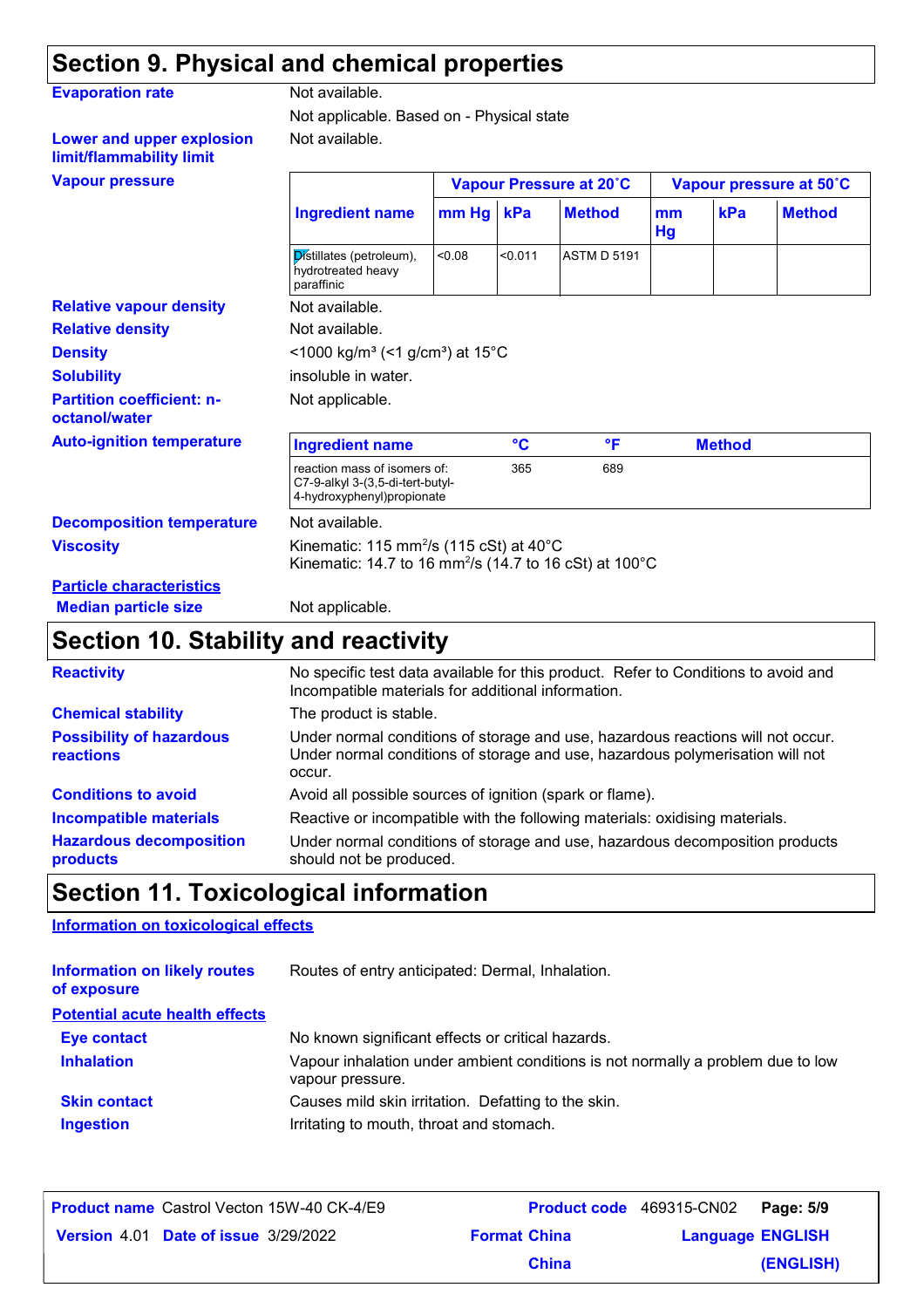# **Section 9. Physical and chemical properties**

| Not available.                                                                                                                                 |        |                                                                                                |                    |                                                                      |     |                                          |
|------------------------------------------------------------------------------------------------------------------------------------------------|--------|------------------------------------------------------------------------------------------------|--------------------|----------------------------------------------------------------------|-----|------------------------------------------|
|                                                                                                                                                |        |                                                                                                |                    |                                                                      |     |                                          |
| Not available.                                                                                                                                 |        |                                                                                                |                    |                                                                      |     |                                          |
|                                                                                                                                                |        |                                                                                                |                    |                                                                      |     |                                          |
| <b>Ingredient name</b>                                                                                                                         |        |                                                                                                | <b>Method</b>      | mm<br>Hg                                                             | kPa | <b>Method</b>                            |
| Distillates (petroleum),<br>hydrotreated heavy<br>paraffinic                                                                                   | < 0.08 | < 0.011                                                                                        | <b>ASTM D 5191</b> |                                                                      |     |                                          |
| Not available.                                                                                                                                 |        |                                                                                                |                    |                                                                      |     |                                          |
| Not available.                                                                                                                                 |        |                                                                                                |                    |                                                                      |     |                                          |
| <1000 kg/m <sup>3</sup> (<1 g/cm <sup>3</sup> ) at 15°C                                                                                        |        |                                                                                                |                    |                                                                      |     |                                          |
| insoluble in water.                                                                                                                            |        |                                                                                                |                    |                                                                      |     |                                          |
| Not applicable.                                                                                                                                |        |                                                                                                |                    |                                                                      |     |                                          |
| <b>Ingredient name</b>                                                                                                                         |        | $\mathbf{C}$                                                                                   | °F                 |                                                                      |     |                                          |
|                                                                                                                                                |        | 365                                                                                            | 689                |                                                                      |     |                                          |
| Not available.                                                                                                                                 |        |                                                                                                |                    |                                                                      |     |                                          |
| Kinematic: 115 mm <sup>2</sup> /s (115 cSt) at $40^{\circ}$ C<br>Kinematic: 14.7 to 16 mm <sup>2</sup> /s (14.7 to 16 cSt) at 100 $^{\circ}$ C |        |                                                                                                |                    |                                                                      |     |                                          |
|                                                                                                                                                |        |                                                                                                |                    |                                                                      |     |                                          |
|                                                                                                                                                |        | reaction mass of isomers of:<br>C7-9-alkyl 3-(3,5-di-tert-butyl-<br>4-hydroxyphenyl)propionate | $mm Hg$ kPa        | Not applicable. Based on - Physical state<br>Vapour Pressure at 20°C |     | Vapour pressure at 50°C<br><b>Method</b> |

# **Median particle size** Not applicable.

# **Section 10. Stability and reactivity**

| <b>Reactivity</b>                            | No specific test data available for this product. Refer to Conditions to avoid and<br>Incompatible materials for additional information.                                   |
|----------------------------------------------|----------------------------------------------------------------------------------------------------------------------------------------------------------------------------|
| <b>Chemical stability</b>                    | The product is stable.                                                                                                                                                     |
| <b>Possibility of hazardous</b><br>reactions | Under normal conditions of storage and use, hazardous reactions will not occur.<br>Under normal conditions of storage and use, hazardous polymerisation will not<br>occur. |
| <b>Conditions to avoid</b>                   | Avoid all possible sources of ignition (spark or flame).                                                                                                                   |
| Incompatible materials                       | Reactive or incompatible with the following materials: oxidising materials.                                                                                                |
| <b>Hazardous decomposition</b><br>products   | Under normal conditions of storage and use, hazardous decomposition products<br>should not be produced.                                                                    |

# **Section 11. Toxicological information**

### **Information on toxicological effects**

| <b>Information on likely routes</b><br>of exposure | Routes of entry anticipated: Dermal, Inhalation.                                                    |  |  |  |
|----------------------------------------------------|-----------------------------------------------------------------------------------------------------|--|--|--|
| <b>Potential acute health effects</b>              |                                                                                                     |  |  |  |
| <b>Eye contact</b>                                 | No known significant effects or critical hazards.                                                   |  |  |  |
| <b>Inhalation</b>                                  | Vapour inhalation under ambient conditions is not normally a problem due to low<br>vapour pressure. |  |  |  |
| <b>Skin contact</b>                                | Causes mild skin irritation. Defatting to the skin.                                                 |  |  |  |
| <b>Ingestion</b>                                   | Irritating to mouth, throat and stomach.                                                            |  |  |  |

| <b>Product name</b> Castrol Vecton 15W-40 CK-4/E9 |                     | Product code 469315-CN02 Page: 5/9 |           |
|---------------------------------------------------|---------------------|------------------------------------|-----------|
| <b>Version 4.01 Date of issue 3/29/2022</b>       | <b>Format China</b> | <b>Language ENGLISH</b>            |           |
|                                                   | <b>China</b>        |                                    | (ENGLISH) |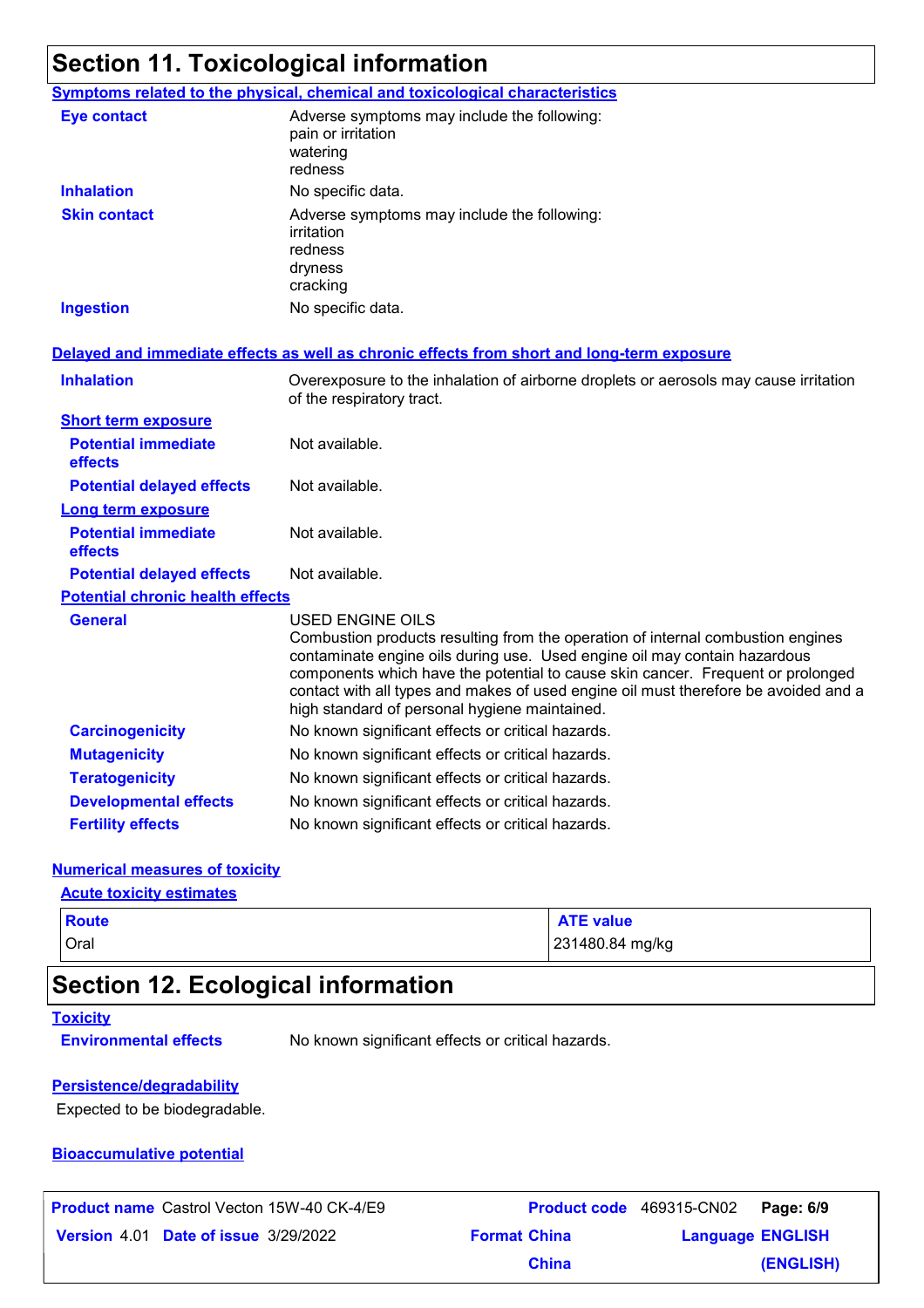# **Section 11. Toxicological information**

|                                         | <b>Symptoms related to the physical, chemical and toxicological characteristics</b>                                                                                                                                                                                                                                                                                                                                |
|-----------------------------------------|--------------------------------------------------------------------------------------------------------------------------------------------------------------------------------------------------------------------------------------------------------------------------------------------------------------------------------------------------------------------------------------------------------------------|
| <b>Eye contact</b>                      | Adverse symptoms may include the following:<br>pain or irritation<br>watering<br>redness                                                                                                                                                                                                                                                                                                                           |
| <b>Inhalation</b>                       | No specific data.                                                                                                                                                                                                                                                                                                                                                                                                  |
| <b>Skin contact</b>                     | Adverse symptoms may include the following:<br>irritation<br>redness<br>dryness<br>cracking                                                                                                                                                                                                                                                                                                                        |
| <b>Ingestion</b>                        | No specific data.                                                                                                                                                                                                                                                                                                                                                                                                  |
|                                         | Delayed and immediate effects as well as chronic effects from short and long-term exposure                                                                                                                                                                                                                                                                                                                         |
| <b>Inhalation</b>                       | Overexposure to the inhalation of airborne droplets or aerosols may cause irritation<br>of the respiratory tract.                                                                                                                                                                                                                                                                                                  |
| <b>Short term exposure</b>              |                                                                                                                                                                                                                                                                                                                                                                                                                    |
| <b>Potential immediate</b><br>effects   | Not available.                                                                                                                                                                                                                                                                                                                                                                                                     |
| <b>Potential delayed effects</b>        | Not available.                                                                                                                                                                                                                                                                                                                                                                                                     |
| <b>Long term exposure</b>               |                                                                                                                                                                                                                                                                                                                                                                                                                    |
| <b>Potential immediate</b><br>effects   | Not available.                                                                                                                                                                                                                                                                                                                                                                                                     |
| <b>Potential delayed effects</b>        | Not available.                                                                                                                                                                                                                                                                                                                                                                                                     |
| <b>Potential chronic health effects</b> |                                                                                                                                                                                                                                                                                                                                                                                                                    |
| <b>General</b>                          | <b>USED ENGINE OILS</b><br>Combustion products resulting from the operation of internal combustion engines<br>contaminate engine oils during use. Used engine oil may contain hazardous<br>components which have the potential to cause skin cancer. Frequent or prolonged<br>contact with all types and makes of used engine oil must therefore be avoided and a<br>high standard of personal hygiene maintained. |
| <b>Carcinogenicity</b>                  | No known significant effects or critical hazards.                                                                                                                                                                                                                                                                                                                                                                  |
| <b>Mutagenicity</b>                     | No known significant effects or critical hazards.                                                                                                                                                                                                                                                                                                                                                                  |
| <b>Teratogenicity</b>                   | No known significant effects or critical hazards.                                                                                                                                                                                                                                                                                                                                                                  |
| <b>Developmental effects</b>            | No known significant effects or critical hazards.                                                                                                                                                                                                                                                                                                                                                                  |
| <b>Fertility effects</b>                | No known significant effects or critical hazards.                                                                                                                                                                                                                                                                                                                                                                  |

#### **Numerical measures of toxicity**

#### **Acute toxicity estimates**

| Oral<br>231480.84 mg/kg | <b>Route</b> | <b>ATE value</b> |
|-------------------------|--------------|------------------|
|                         |              |                  |

# **Section 12. Ecological information**

#### **Toxicity**

**Environmental effects** No known significant effects or critical hazards.

**China**

#### **Persistence/degradability**

Expected to be biodegradable.

#### **Bioaccumulative potential**

| <b>Product name</b> Castrol Vecton 15W-40 CK-4/E9 | <b>Product code</b> 469315-CN02 |                         | Page: 6/9 |  |
|---------------------------------------------------|---------------------------------|-------------------------|-----------|--|
| <b>Version 4.01 Date of issue 3/29/2022</b>       | <b>Format China</b>             | <b>Language ENGLISH</b> |           |  |

**(ENGLISH)**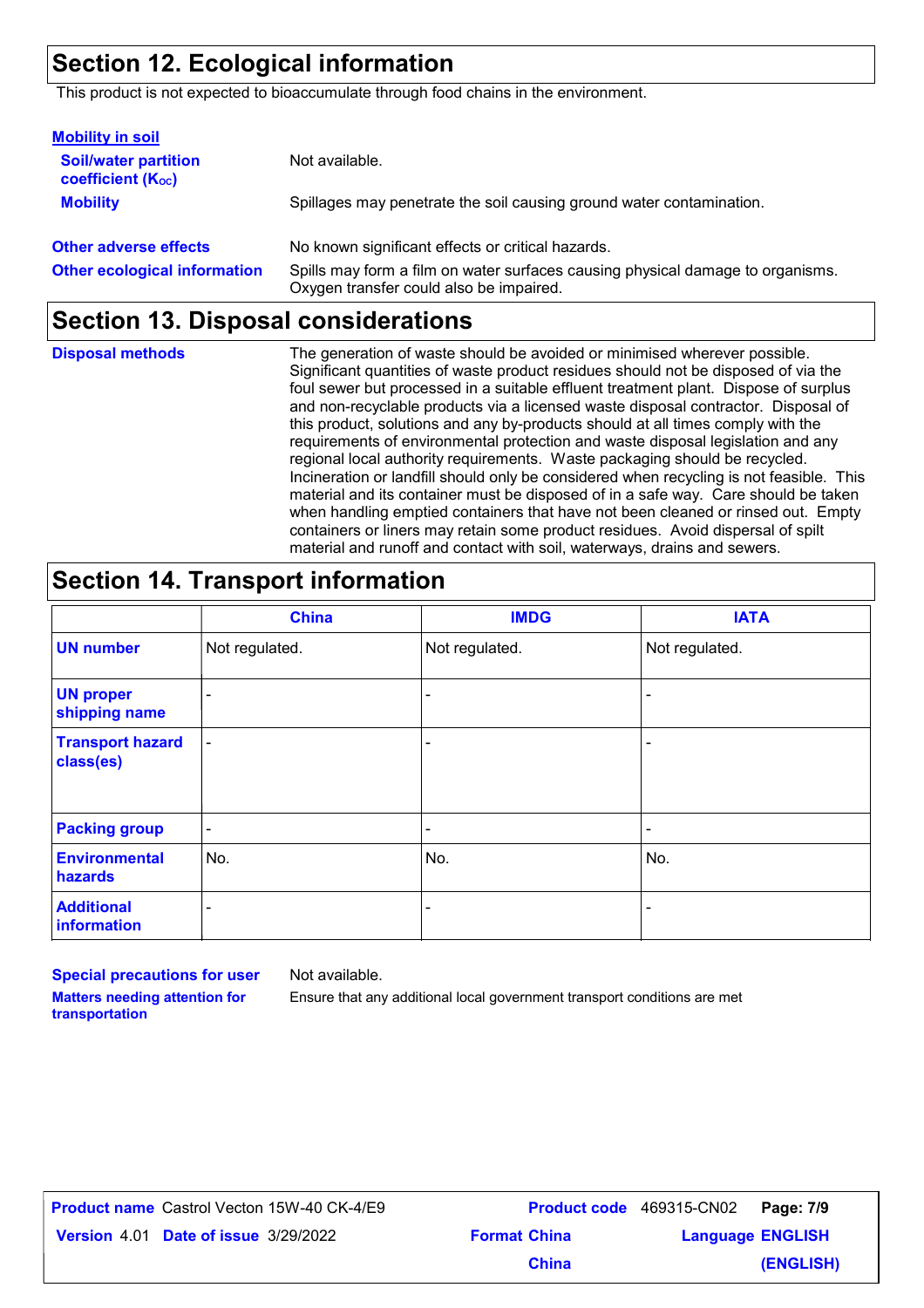# **Section 12. Ecological information**

This product is not expected to bioaccumulate through food chains in the environment.

| <b>Mobility in soil</b>                                 |                                                                                                                           |
|---------------------------------------------------------|---------------------------------------------------------------------------------------------------------------------------|
| <b>Soil/water partition</b><br><b>coefficient (Koc)</b> | Not available.                                                                                                            |
| <b>Mobility</b>                                         | Spillages may penetrate the soil causing ground water contamination.                                                      |
| <b>Other adverse effects</b>                            | No known significant effects or critical hazards.                                                                         |
| <b>Other ecological information</b>                     | Spills may form a film on water surfaces causing physical damage to organisms.<br>Oxygen transfer could also be impaired. |

### **Section 13. Disposal considerations**

The generation of waste should be avoided or minimised wherever possible. Significant quantities of waste product residues should not be disposed of via the foul sewer but processed in a suitable effluent treatment plant. Dispose of surplus and non-recyclable products via a licensed waste disposal contractor. Disposal of this product, solutions and any by-products should at all times comply with the requirements of environmental protection and waste disposal legislation and any regional local authority requirements. Waste packaging should be recycled. Incineration or landfill should only be considered when recycling is not feasible. This material and its container must be disposed of in a safe way. Care should be taken when handling emptied containers that have not been cleaned or rinsed out. Empty containers or liners may retain some product residues. Avoid dispersal of spilt material and runoff and contact with soil, waterways, drains and sewers. **Disposal methods**

# **Section 14. Transport information**

|                                      | <b>China</b>   | <b>IMDG</b>    | <b>IATA</b>              |
|--------------------------------------|----------------|----------------|--------------------------|
| <b>UN number</b>                     | Not regulated. | Not regulated. | Not regulated.           |
| <b>UN proper</b><br>shipping name    | $\blacksquare$ | $\blacksquare$ | $\blacksquare$           |
| <b>Transport hazard</b><br>class(es) | $\blacksquare$ | ۰              | $\overline{\phantom{a}}$ |
| <b>Packing group</b>                 | $\blacksquare$ | $\blacksquare$ | $\blacksquare$           |
| <b>Environmental</b><br>hazards      | No.            | No.            | No.                      |
| <b>Additional</b><br>information     | ۰              | ۰              | ۰                        |

**Special precautions for user Matters needing attention for transportation**

Not available.

Ensure that any additional local government transport conditions are met

**Product name** Castrol Vecton 15W-40 CK-4/E9

**Date of issue Version** 4.01 **Format China Language** 3/29/2022Castrol Vecton 15W-40 CK-4/E9 **Product code** 469315-CN02 **Page: 7/9** | **Language ENGLISH (ENGLISH) China**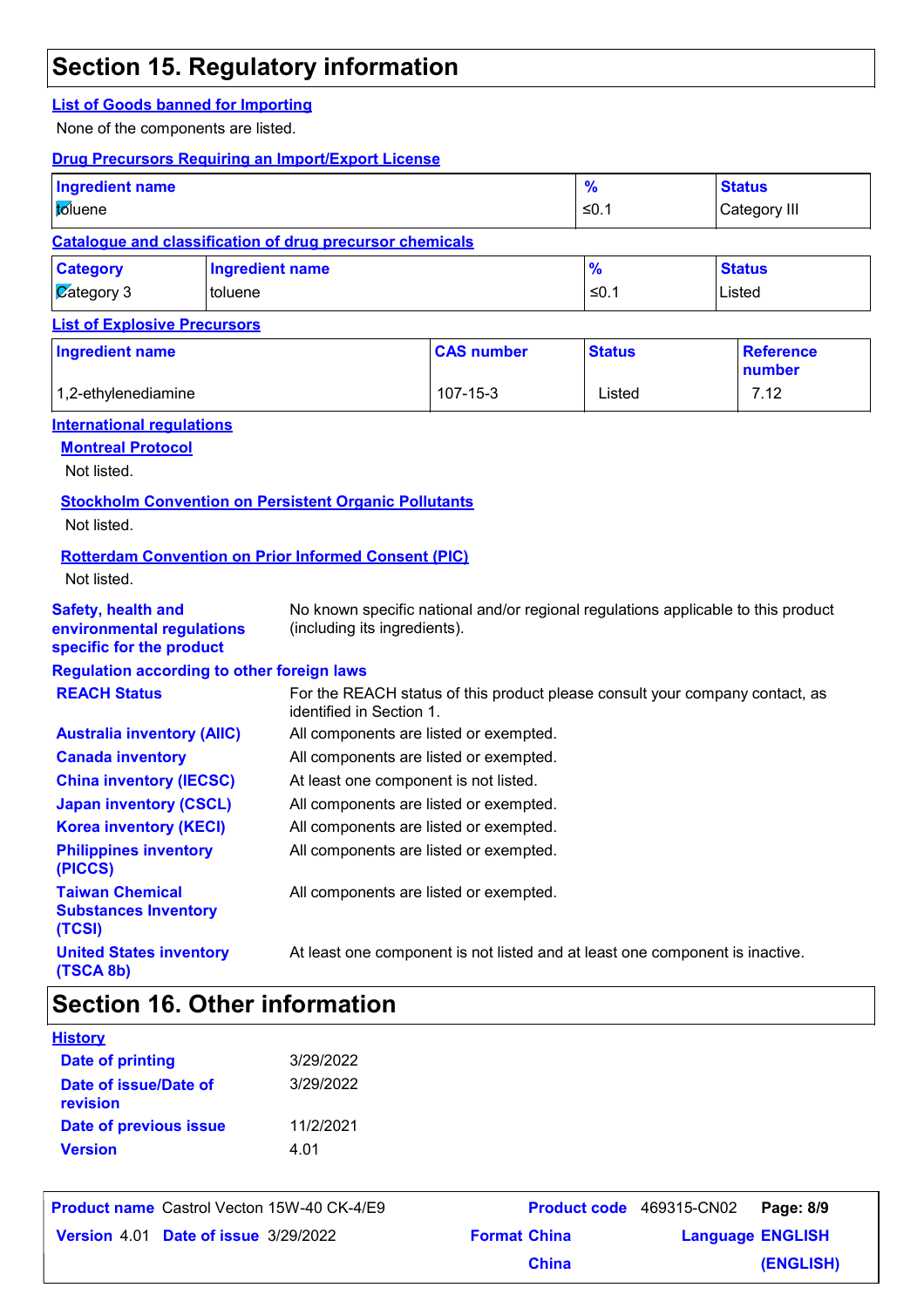# **Section 15. Regulatory information**

#### **List of Goods banned for Importing**

None of the components are listed.

#### **Drug Precursors Requiring an Import/Export License**

| <b>Ingredient name</b><br>toluene |                                                                 | $\frac{9}{6}$<br>≤0.1 | <b>Status</b><br>Category III |
|-----------------------------------|-----------------------------------------------------------------|-----------------------|-------------------------------|
|                                   | <b>Catalogue and classification of drug precursor chemicals</b> |                       |                               |
| <b>Category</b>                   | <b>Ingredient name</b>                                          | $\frac{9}{6}$         | <b>Status</b>                 |
| $\sqrt{\mathcal{C}}$ ategory 3    | toluene                                                         | ≤0.1                  | Listed                        |

#### **List of Explosive Precursors**

| <b>Ingredient name</b> | <b>CAS number</b> | <b>Status</b> | Reference<br>number |
|------------------------|-------------------|---------------|---------------------|
| 1,2-ethylenediamine    | 107-15-3          | Listed        | 7.12                |

#### **International regulations**

**Montreal Protocol**

Not listed.

#### **Stockholm Convention on Persistent Organic Pollutants**

Not listed.

#### **Rotterdam Convention on Prior Informed Consent (PIC)**

Not listed.

**Safety, health and** 

**specific for the product**

**environmental regulations**  No known specific national and/or regional regulations applicable to this product (including its ingredients).

#### **Regulation according to other foreign laws**

| <b>REACH Status</b>                                             | For the REACH status of this product please consult your company contact, as<br>identified in Section 1. |
|-----------------------------------------------------------------|----------------------------------------------------------------------------------------------------------|
| <b>Australia inventory (AIIC)</b>                               | All components are listed or exempted.                                                                   |
| <b>Canada inventory</b>                                         | All components are listed or exempted.                                                                   |
| <b>China inventory (IECSC)</b>                                  | At least one component is not listed.                                                                    |
| <b>Japan inventory (CSCL)</b>                                   | All components are listed or exempted.                                                                   |
| <b>Korea inventory (KECI)</b>                                   | All components are listed or exempted.                                                                   |
| <b>Philippines inventory</b><br>(PICCS)                         | All components are listed or exempted.                                                                   |
| <b>Taiwan Chemical</b><br><b>Substances Inventory</b><br>(TCSI) | All components are listed or exempted.                                                                   |
| <b>United States inventory</b><br>(TSCA 8b)                     | At least one component is not listed and at least one component is inactive.                             |

# **Section 16. Other information**

| <b>History</b>                    |           |  |
|-----------------------------------|-----------|--|
| <b>Date of printing</b>           | 3/29/2022 |  |
| Date of issue/Date of<br>revision | 3/29/2022 |  |
| Date of previous issue            | 11/2/2021 |  |
| <b>Version</b>                    | 4 በ1      |  |

| <b>Product name</b> Castrol Vecton 15W-40 CK-4/E9 |                     | Product code 469315-CN02 Page: 8/9 |           |
|---------------------------------------------------|---------------------|------------------------------------|-----------|
| Version 4.01 Date of issue 3/29/2022              | <b>Format China</b> | <b>Language ENGLISH</b>            |           |
|                                                   | <b>China</b>        |                                    | (ENGLISH) |